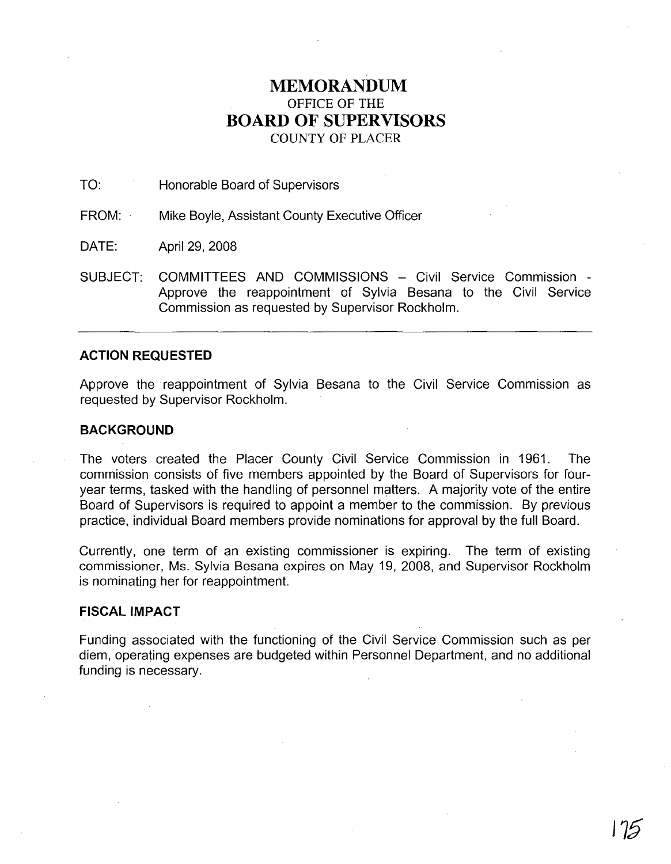# **MEMORANDUM** OFFICE OF THE **BOARD OF SUPERVISORS** COUNTY OF PLACER

# TO: Honorable Board of Supervisors

FROM: Mike Boyle, Assistant County Executive Officer

DATE: April 29, 2008

SUBJECT: COMMITTEES AND COMMISSIONS - Civil Service Commission -Approve the reappointment of Sylvia Besana to the Civil Service Commission as requested by Supervisor Rockholm.

# **ACTION REQUESTED**

Approve the· reappointment of Sylvia Besana to the Civil Service Commission as requested by Supervisor Rockholm.

### **BACKGROUND**

The voters created the Placer County Civil Service Commission in 1961. The commission consists of five members appointed by the Board of Supervisors for fouryear terms, tasked with the handling of personnel matters. A majority vote of the entire Board of Supervisors is required to appoint a member to the commission. By previous practice, individual Board members provide nominations for approval by the full Board.

Currently, one term of an existing commissioner is expiring. The term of existing commissioner, Ms. Sylvia Besana expires on May 19, 2008, and Supervisor Rockholm is nominating her for reappointment.

## **FISCAL IMPACT**

Funding associated with the functioning of the Civil Service Commission such as per diem, operating expenses are budgeted within Personnel Department, and no additional funding is necessary.